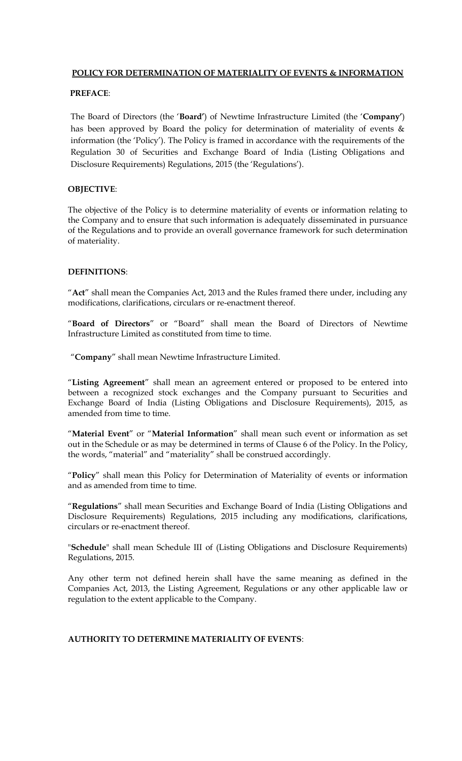## **POLICY FOR DETERMINATION OF MATERIALITY OF EVENTS & INFORMATION**

# **PREFACE**:

The Board of Directors (the '**Board'**) of Newtime Infrastructure Limited (the '**Company'**) has been approved by Board the policy for determination of materiality of events & information (the 'Policy'). The Policy is framed in accordance with the requirements of the Regulation 30 of Securities and Exchange Board of India (Listing Obligations and Disclosure Requirements) Regulations, 2015 (the 'Regulations').

### **OBJECTIVE**:

The objective of the Policy is to determine materiality of events or information relating to the Company and to ensure that such information is adequately disseminated in pursuance of the Regulations and to provide an overall governance framework for such determination of materiality.

## **DEFINITIONS**:

"**Act**" shall mean the Companies Act, 2013 and the Rules framed there under, including any modifications, clarifications, circulars or re-enactment thereof.

"**Board of Directors**" or "Board" shall mean the Board of Directors of Newtime Infrastructure Limited as constituted from time to time.

"**Company**" shall mean Newtime Infrastructure Limited.

"**Listing Agreement**" shall mean an agreement entered or proposed to be entered into between a recognized stock exchanges and the Company pursuant to Securities and Exchange Board of India (Listing Obligations and Disclosure Requirements), 2015, as amended from time to time.

"**Material Event**" or "**Material Information**" shall mean such event or information as set out in the Schedule or as may be determined in terms of Clause 6 of the Policy. In the Policy, the words, "material" and "materiality" shall be construed accordingly.

"**Policy**" shall mean this Policy for Determination of Materiality of events or information and as amended from time to time.

"**Regulations**" shall mean Securities and Exchange Board of India (Listing Obligations and Disclosure Requirements) Regulations, 2015 including any modifications, clarifications, circulars or re-enactment thereof.

"**Schedule**" shall mean Schedule III of (Listing Obligations and Disclosure Requirements) Regulations, 2015.

Any other term not defined herein shall have the same meaning as defined in the Companies Act, 2013, the Listing Agreement, Regulations or any other applicable law or regulation to the extent applicable to the Company.

### **AUTHORITY TO DETERMINE MATERIALITY OF EVENTS**: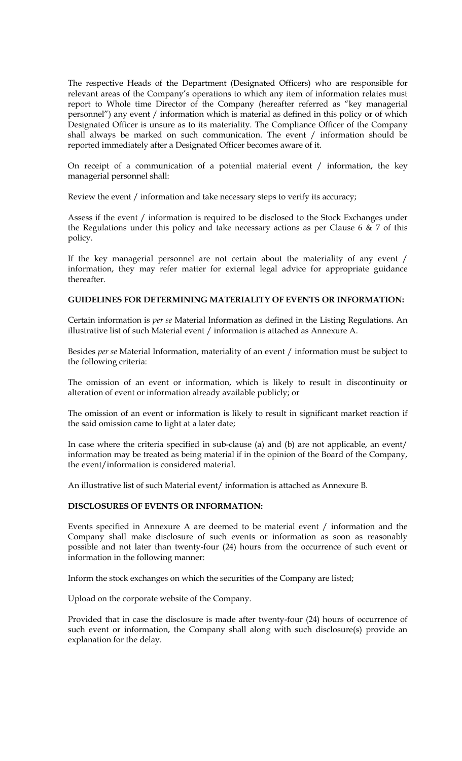The respective Heads of the Department (Designated Officers) who are responsible for relevant areas of the Company's operations to which any item of information relates must report to Whole time Director of the Company (hereafter referred as "key managerial personnel") any event / information which is material as defined in this policy or of which Designated Officer is unsure as to its materiality. The Compliance Officer of the Company shall always be marked on such communication. The event / information should be reported immediately after a Designated Officer becomes aware of it.

On receipt of a communication of a potential material event / information, the key managerial personnel shall:

Review the event / information and take necessary steps to verify its accuracy;

Assess if the event / information is required to be disclosed to the Stock Exchanges under the Regulations under this policy and take necessary actions as per Clause 6  $\&$  7 of this policy.

If the key managerial personnel are not certain about the materiality of any event / information, they may refer matter for external legal advice for appropriate guidance thereafter.

## **GUIDELINES FOR DETERMINING MATERIALITY OF EVENTS OR INFORMATION:**

Certain information is *per se* Material Information as defined in the Listing Regulations. An illustrative list of such Material event / information is attached as Annexure A.

Besides *per se* Material Information, materiality of an event / information must be subject to the following criteria:

The omission of an event or information, which is likely to result in discontinuity or alteration of event or information already available publicly; or

The omission of an event or information is likely to result in significant market reaction if the said omission came to light at a later date;

In case where the criteria specified in sub-clause (a) and (b) are not applicable, an event/ information may be treated as being material if in the opinion of the Board of the Company, the event/information is considered material.

An illustrative list of such Material event/ information is attached as Annexure B.

## **DISCLOSURES OF EVENTS OR INFORMATION:**

Events specified in Annexure A are deemed to be material event / information and the Company shall make disclosure of such events or information as soon as reasonably possible and not later than twenty-four (24) hours from the occurrence of such event or information in the following manner:

Inform the stock exchanges on which the securities of the Company are listed;

Upload on the corporate website of the Company.

Provided that in case the disclosure is made after twenty-four (24) hours of occurrence of such event or information, the Company shall along with such disclosure(s) provide an explanation for the delay.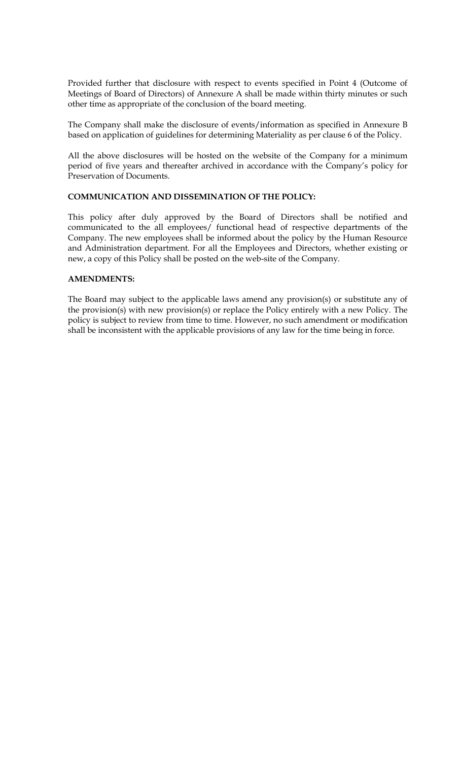Provided further that disclosure with respect to events specified in Point 4 (Outcome of Meetings of Board of Directors) of Annexure A shall be made within thirty minutes or such other time as appropriate of the conclusion of the board meeting.

The Company shall make the disclosure of events/information as specified in Annexure B based on application of guidelines for determining Materiality as per clause 6 of the Policy.

All the above disclosures will be hosted on the website of the Company for a minimum period of five years and thereafter archived in accordance with the Company's policy for Preservation of Documents.

# **COMMUNICATION AND DISSEMINATION OF THE POLICY:**

This policy after duly approved by the Board of Directors shall be notified and communicated to the all employees/ functional head of respective departments of the Company. The new employees shall be informed about the policy by the Human Resource and Administration department. For all the Employees and Directors, whether existing or new, a copy of this Policy shall be posted on the web-site of the Company.

### **AMENDMENTS:**

The Board may subject to the applicable laws amend any provision(s) or substitute any of the provision(s) with new provision(s) or replace the Policy entirely with a new Policy. The policy is subject to review from time to time. However, no such amendment or modification shall be inconsistent with the applicable provisions of any law for the time being in force.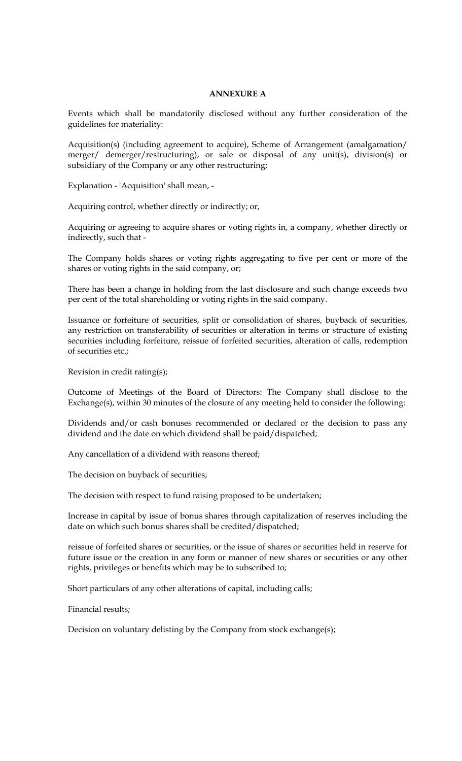# **ANNEXURE A**

Events which shall be mandatorily disclosed without any further consideration of the guidelines for materiality:

Acquisition(s) (including agreement to acquire), Scheme of Arrangement (amalgamation/ merger/ demerger/restructuring), or sale or disposal of any unit(s), division(s) or subsidiary of the Company or any other restructuring;

Explanation - 'Acquisition' shall mean, -

Acquiring control, whether directly or indirectly; or,

Acquiring or agreeing to acquire shares or voting rights in, a company, whether directly or indirectly, such that -

The Company holds shares or voting rights aggregating to five per cent or more of the shares or voting rights in the said company, or;

There has been a change in holding from the last disclosure and such change exceeds two per cent of the total shareholding or voting rights in the said company.

Issuance or forfeiture of securities, split or consolidation of shares, buyback of securities, any restriction on transferability of securities or alteration in terms or structure of existing securities including forfeiture, reissue of forfeited securities, alteration of calls, redemption of securities etc.;

Revision in credit rating(s);

Outcome of Meetings of the Board of Directors: The Company shall disclose to the Exchange(s), within 30 minutes of the closure of any meeting held to consider the following:

Dividends and/or cash bonuses recommended or declared or the decision to pass any dividend and the date on which dividend shall be paid/dispatched;

Any cancellation of a dividend with reasons thereof;

The decision on buyback of securities;

The decision with respect to fund raising proposed to be undertaken;

Increase in capital by issue of bonus shares through capitalization of reserves including the date on which such bonus shares shall be credited/dispatched;

reissue of forfeited shares or securities, or the issue of shares or securities held in reserve for future issue or the creation in any form or manner of new shares or securities or any other rights, privileges or benefits which may be to subscribed to;

Short particulars of any other alterations of capital, including calls;

Financial results;

Decision on voluntary delisting by the Company from stock exchange(s);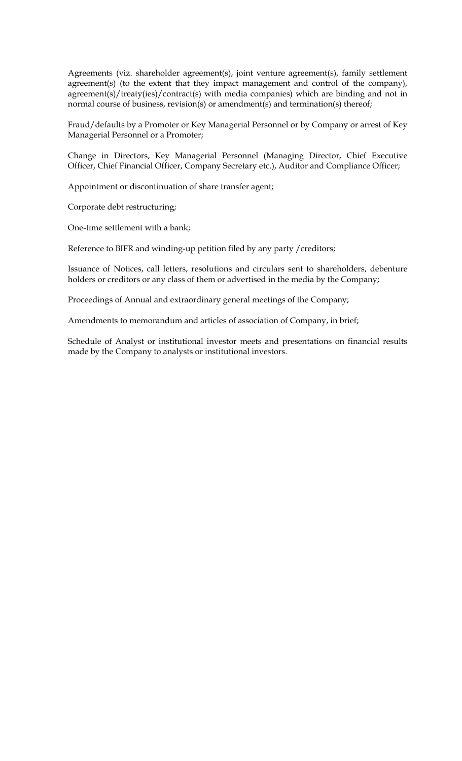Agreements (viz. shareholder agreement(s), joint venture agreement(s), family settlement agreement(s) (to the extent that they impact management and control of the company), agreement(s)/treaty(ies)/contract(s) with media companies) which are binding and not in normal course of business, revision(s) or amendment(s) and termination(s) thereof;

Fraud/defaults by a Promoter or Key Managerial Personnel or by Company or arrest of Key Managerial Personnel or a Promoter;

Change in Directors, Key Managerial Personnel (Managing Director, Chief Executive Officer, Chief Financial Officer, Company Secretary etc.), Auditor and Compliance Officer;

Appointment or discontinuation of share transfer agent;

Corporate debt restructuring;

One-time settlement with a bank;

Reference to BIFR and winding-up petition filed by any party /creditors;

Issuance of Notices, call letters, resolutions and circulars sent to shareholders, debenture holders or creditors or any class of them or advertised in the media by the Company;

Proceedings of Annual and extraordinary general meetings of the Company;

Amendments to memorandum and articles of association of Company, in brief;

Schedule of Analyst or institutional investor meets and presentations on financial results made by the Company to analysts or institutional investors.